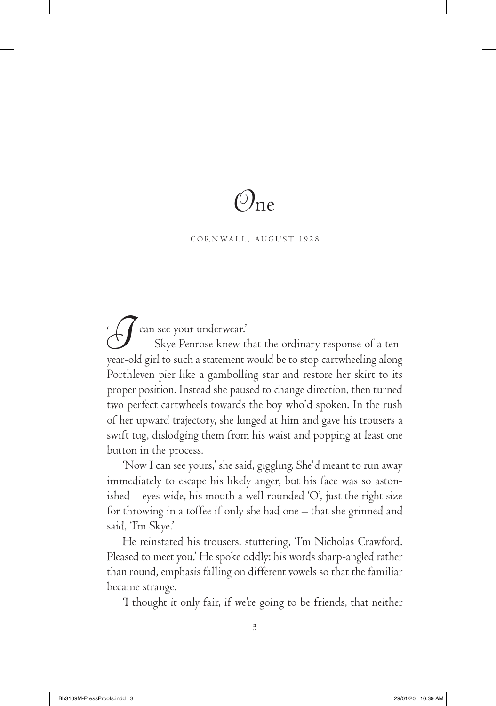## $\mathcal{O}_\text{ne}$

## CORNWALL, AUGUST 1928

can see your underwear.'

،<br>. Skye Penrose knew that the ordinary response of a tenyear-old girl to such a statement would be to stop cartwheeling along Porthleven pier like a gambolling star and restore her skirt to its proper position. Instead she paused to change direction, then turned two perfect cartwheels towards the boy who'd spoken. In the rush of her upward trajectory, she lunged at him and gave his trousers a swift tug, dislodging them from his waist and popping at least one button in the process.

'Now I can see yours,' she said, giggling. She'd meant to run away immediately to escape his likely anger, but his face was so astonished – eyes wide, his mouth a well-rounded 'O', just the right size for throwing in a toffee if only she had one – that she grinned and said, 'I'm Skye.'

He reinstated his trousers, stuttering, 'I'm Nicholas Crawford. Pleased to meet you.' He spoke oddly: his words sharp-angled rather than round, emphasis falling on different vowels so that the familiar became strange.

'I thought it only fair, if we're going to be friends, that neither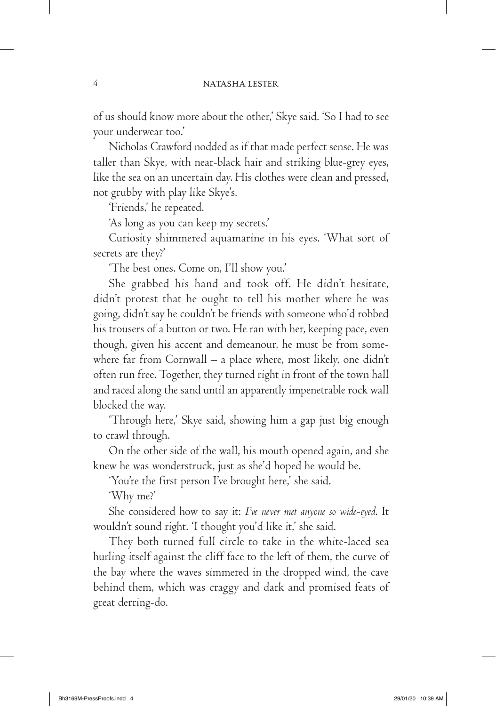of us should know more about the other,' Skye said. 'So I had to see your underwear too.'

Nicholas Crawford nodded as if that made perfect sense. He was taller than Skye, with near-black hair and striking blue-grey eyes, like the sea on an uncertain day. His clothes were clean and pressed, not grubby with play like Skye's.

'Friends,' he repeated.

'As long as you can keep my secrets.'

Curiosity shimmered aquamarine in his eyes. 'What sort of secrets are they?'

'The best ones. Come on, I'll show you.'

She grabbed his hand and took off. He didn't hesitate, didn't protest that he ought to tell his mother where he was going, didn't say he couldn't be friends with someone who'd robbed his trousers of a button or two. He ran with her, keeping pace, even though, given his accent and demeanour, he must be from somewhere far from Cornwall – a place where, most likely, one didn't often run free. Together, they turned right in front of the town hall and raced along the sand until an apparently impenetrable rock wall blocked the way.

'Through here,' Skye said, showing him a gap just big enough to crawl through.

On the other side of the wall, his mouth opened again, and she knew he was wonderstruck, just as she'd hoped he would be.

'You're the first person I've brought here,' she said.

'Why me?'

She considered how to say it: *I've never met anyone so wide-eyed*. It wouldn't sound right. 'I thought you'd like it,' she said.

They both turned full circle to take in the white-laced sea hurling itself against the cliff face to the left of them, the curve of the bay where the waves simmered in the dropped wind, the cave behind them, which was craggy and dark and promised feats of great derring-do.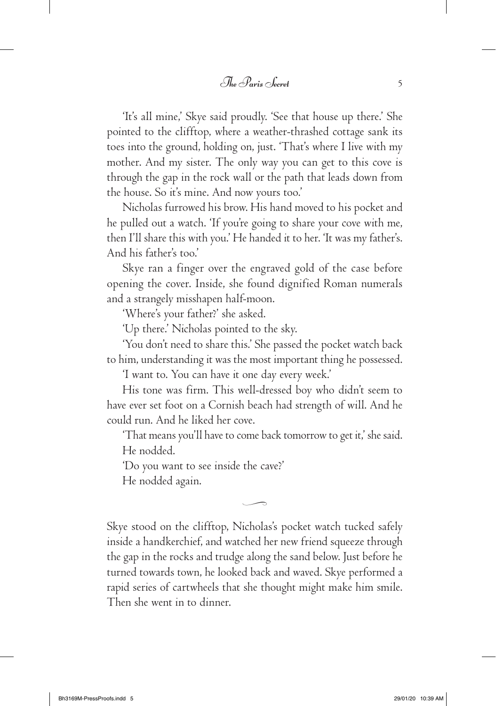The Paris Secret 5

'It's all mine,' Skye said proudly. 'See that house up there.' She pointed to the clifftop, where a weather-thrashed cottage sank its toes into the ground, holding on, just. 'That's where I live with my mother. And my sister. The only way you can get to this cove is through the gap in the rock wall or the path that leads down from the house. So it's mine. And now yours too.'

Nicholas furrowed his brow. His hand moved to his pocket and he pulled out a watch. 'If you're going to share your cove with me, then I'll share this with you.' He handed it to her. 'It was my father's. And his father's too.'

Skye ran a finger over the engraved gold of the case before opening the cover. Inside, she found dignified Roman numerals and a strangely misshapen half-moon.

'Where's your father?' she asked.

'Up there.' Nicholas pointed to the sky.

'You don't need to share this.' She passed the pocket watch back to him, understanding it was the most important thing he possessed.

'I want to. You can have it one day every week.'

His tone was firm. This well-dressed boy who didn't seem to have ever set foot on a Cornish beach had strength of will. And he could run. And he liked her cove.

'That means you'll have to come back tomorrow to get it,' she said. He nodded.

'Do you want to see inside the cave?'

He nodded again.

Skye stood on the clifftop, Nicholas's pocket watch tucked safely inside a handkerchief, and watched her new friend squeeze through the gap in the rocks and trudge along the sand below. Just before he turned towards town, he looked back and waved. Skye performed a rapid series of cartwheels that she thought might make him smile. Then she went in to dinner.

 $\rightarrow$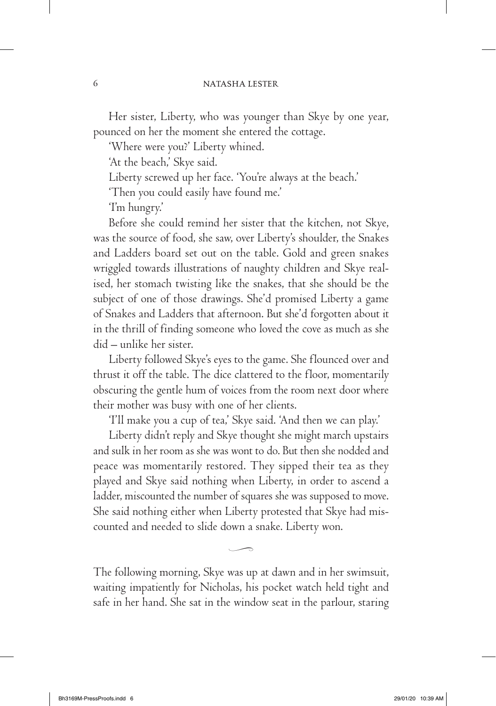Her sister, Liberty, who was younger than Skye by one year, pounced on her the moment she entered the cottage.

'Where were you?' Liberty whined.

'At the beach,' Skye said.

Liberty screwed up her face. 'You're always at the beach.'

'Then you could easily have found me.'

'I'm hungry.'

Before she could remind her sister that the kitchen, not Skye, was the source of food, she saw, over Liberty's shoulder, the Snakes and Ladders board set out on the table. Gold and green snakes wriggled towards illustrations of naughty children and Skye realised, her stomach twisting like the snakes, that she should be the subject of one of those drawings. She'd promised Liberty a game of Snakes and Ladders that afternoon. But she'd forgotten about it in the thrill of finding someone who loved the cove as much as she did – unlike her sister.

Liberty followed Skye's eyes to the game. She flounced over and thrust it off the table. The dice clattered to the floor, momentarily obscuring the gentle hum of voices from the room next door where their mother was busy with one of her clients.

'I'll make you a cup of tea,' Skye said. 'And then we can play.'

Liberty didn't reply and Skye thought she might march upstairs and sulk in her room as she was wont to do. But then she nodded and peace was momentarily restored. They sipped their tea as they played and Skye said nothing when Liberty, in order to ascend a ladder, miscounted the number of squares she was supposed to move. She said nothing either when Liberty protested that Skye had miscounted and needed to slide down a snake. Liberty won.

 The following morning, Skye was up at dawn and in her swimsuit, waiting impatiently for Nicholas, his pocket watch held tight and safe in her hand. She sat in the window seat in the parlour, staring

 $\overline{\phantom{1}}$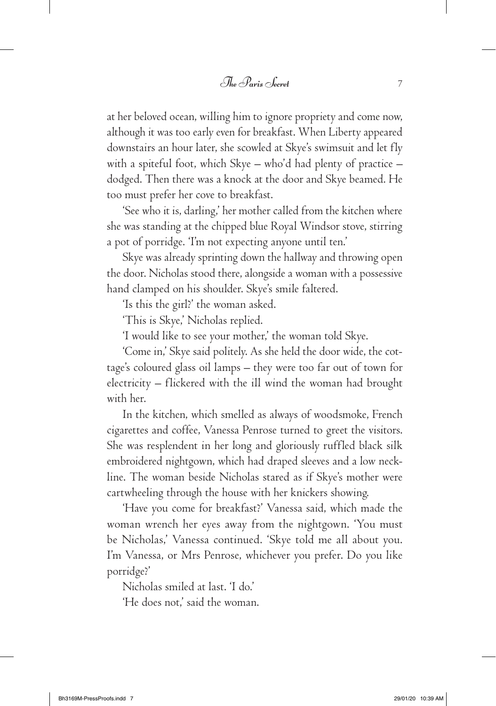at her beloved ocean, willing him to ignore propriety and come now, although it was too early even for breakfast. When Liberty appeared downstairs an hour later, she scowled at Skye's swimsuit and let fly with a spiteful foot, which Skye – who'd had plenty of practice – dodged. Then there was a knock at the door and Skye beamed. He too must prefer her cove to breakfast.

'See who it is, darling,' her mother called from the kitchen where she was standing at the chipped blue Royal Windsor stove, stirring a pot of porridge. 'I'm not expecting anyone until ten.'

Skye was already sprinting down the hallway and throwing open the door. Nicholas stood there, alongside a woman with a possessive hand clamped on his shoulder. Skye's smile faltered.

'Is this the girl?' the woman asked.

'This is Skye,' Nicholas replied.

'I would like to see your mother,' the woman told Skye.

'Come in,' Skye said politely. As she held the door wide, the cottage's coloured glass oil lamps – they were too far out of town for electricity – flickered with the ill wind the woman had brought with her.

In the kitchen, which smelled as always of woodsmoke, French cigarettes and coffee, Vanessa Penrose turned to greet the visitors. She was resplendent in her long and gloriously ruffled black silk embroidered nightgown, which had draped sleeves and a low neckline. The woman beside Nicholas stared as if Skye's mother were cartwheeling through the house with her knickers showing.

'Have you come for breakfast?' Vanessa said, which made the woman wrench her eyes away from the nightgown. 'You must be Nicholas,' Vanessa continued. 'Skye told me all about you. I'm Vanessa, or Mrs Penrose, whichever you prefer. Do you like porridge?'

Nicholas smiled at last. 'I do.'

'He does not,' said the woman.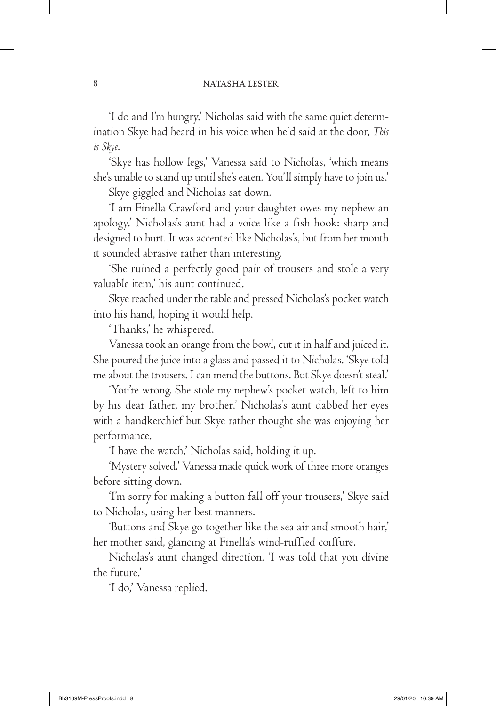'I do and I'm hungry,' Nicholas said with the same quiet determination Skye had heard in his voice when he'd said at the door, *This is Skye*.

'Skye has hollow legs,' Vanessa said to Nicholas, 'which means she's unable to stand up until she's eaten. You'll simply have to join us.'

Skye giggled and Nicholas sat down.

'I am Finella Crawford and your daughter owes my nephew an apology.' Nicholas's aunt had a voice like a fish hook: sharp and designed to hurt. It was accented like Nicholas's, but from her mouth it sounded abrasive rather than interesting.

 'She ruined a perfectly good pair of trousers and stole a very valuable item,' his aunt continued.

Skye reached under the table and pressed Nicholas's pocket watch into his hand, hoping it would help.

'Thanks,' he whispered.

Vanessa took an orange from the bowl, cut it in half and juiced it. She poured the juice into a glass and passed it to Nicholas. 'Skye told me about the trousers. I can mend the buttons. But Skye doesn't steal.'

'You're wrong. She stole my nephew's pocket watch, left to him by his dear father, my brother.' Nicholas's aunt dabbed her eyes with a handkerchief but Skye rather thought she was enjoying her performance.

'I have the watch,' Nicholas said, holding it up.

'Mystery solved.' Vanessa made quick work of three more oranges before sitting down.

'I'm sorry for making a button fall off your trousers,' Skye said to Nicholas, using her best manners.

'Buttons and Skye go together like the sea air and smooth hair,' her mother said, glancing at Finella's wind-ruffled coiffure.

Nicholas's aunt changed direction. 'I was told that you divine the future.'

'I do,' Vanessa replied.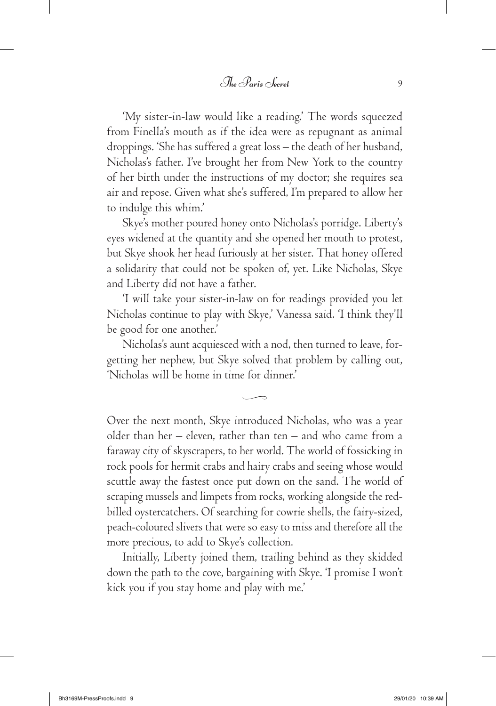The Paris Secret 9

'My sister-in-law would like a reading.' The words squeezed from Finella's mouth as if the idea were as repugnant as animal droppings. 'She has suffered a great loss - the death of her husband, Nicholas's father. I've brought her from New York to the country of her birth under the instructions of my doctor; she requires sea air and repose. Given what she's suffered, I'm prepared to allow her to indulge this whim.'

Skye's mother poured honey onto Nicholas's porridge. Liberty's eyes widened at the quantity and she opened her mouth to protest, but Skye shook her head furiously at her sister. That honey offered a solidarity that could not be spoken of, yet. Like Nicholas, Skye and Liberty did not have a father.

'I will take your sister-in-law on for readings provided you let Nicholas continue to play with Skye,' Vanessa said. 'I think they'll be good for one another.'

Nicholas's aunt acquiesced with a nod, then turned to leave, forgetting her nephew, but Skye solved that problem by calling out, 'Nicholas will be home in time for dinner.'

 $\rightarrow$ 

Over the next month, Skye introduced Nicholas, who was a year older than her – eleven, rather than ten – and who came from a faraway city of skyscrapers, to her world. The world of fossicking in rock pools for hermit crabs and hairy crabs and seeing whose would scuttle away the fastest once put down on the sand. The world of scraping mussels and limpets from rocks, working alongside the redbilled oystercatchers. Of searching for cowrie shells, the fairy-sized, peach-coloured slivers that were so easy to miss and therefore all the more precious, to add to Skye's collection.

Initially, Liberty joined them, trailing behind as they skidded down the path to the cove, bargaining with Skye. 'I promise I won't kick you if you stay home and play with me.'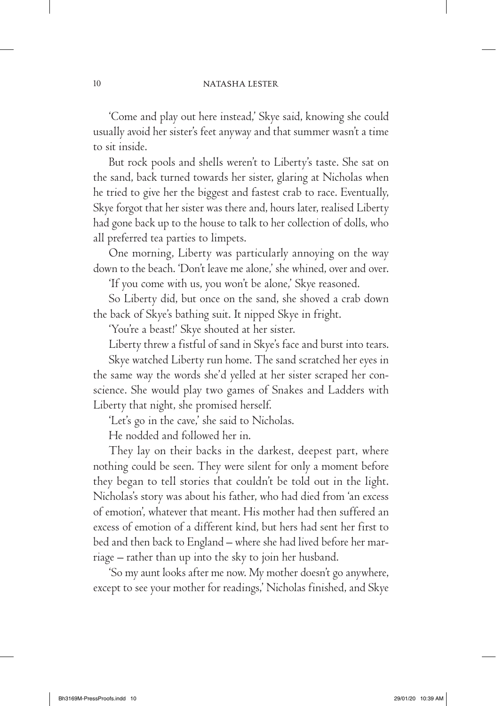'Come and play out here instead,' Skye said, knowing she could usually avoid her sister's feet anyway and that summer wasn't a time to sit inside.

But rock pools and shells weren't to Liberty's taste. She sat on the sand, back turned towards her sister, glaring at Nicholas when he tried to give her the biggest and fastest crab to race. Eventually, Skye forgot that her sister was there and, hours later, realised Liberty had gone back up to the house to talk to her collection of dolls, who all preferred tea parties to limpets.

One morning, Liberty was particularly annoying on the way down to the beach. 'Don't leave me alone,' she whined, over and over.

'If you come with us, you won't be alone,' Skye reasoned.

So Liberty did, but once on the sand, she shoved a crab down the back of Skye's bathing suit. It nipped Skye in fright.

'You're a beast!' Skye shouted at her sister.

Liberty threw a fistful of sand in Skye's face and burst into tears.

Skye watched Liberty run home. The sand scratched her eyes in the same way the words she'd yelled at her sister scraped her conscience. She would play two games of Snakes and Ladders with Liberty that night, she promised herself.

'Let's go in the cave,' she said to Nicholas.

He nodded and followed her in.

They lay on their backs in the darkest, deepest part, where nothing could be seen. They were silent for only a moment before they began to tell stories that couldn't be told out in the light. Nicholas's story was about his father, who had died from 'an excess of emotion', whatever that meant. His mother had then suffered an excess of emotion of a different kind, but hers had sent her first to bed and then back to England – where she had lived before her marriage – rather than up into the sky to join her husband.

'So my aunt looks after me now. My mother doesn't go anywhere, except to see your mother for readings,' Nicholas finished, and Skye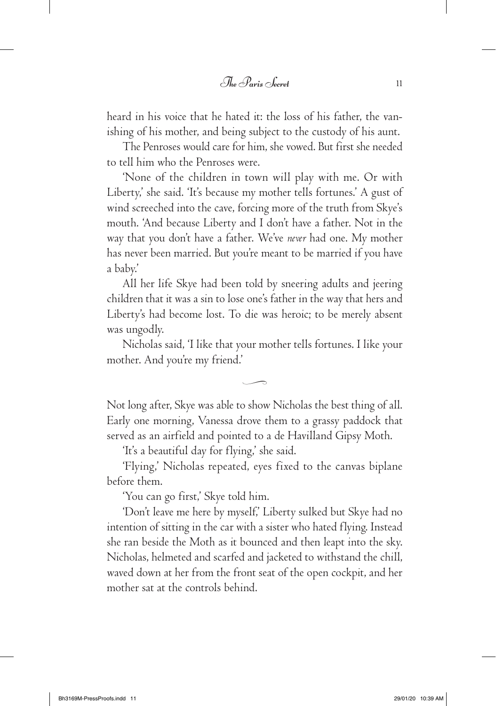heard in his voice that he hated it: the loss of his father, the vanishing of his mother, and being subject to the custody of his aunt.

The Penroses would care for him, she vowed. But first she needed to tell him who the Penroses were.

'None of the children in town will play with me. Or with Liberty,' she said. 'It's because my mother tells fortunes.' A gust of wind screeched into the cave, forcing more of the truth from Skye's mouth. 'And because Liberty and I don't have a father. Not in the way that you don't have a father. We've *never* had one. My mother has never been married. But you're meant to be married if you have a baby.'

All her life Skye had been told by sneering adults and jeering children that it was a sin to lose one's father in the way that hers and Liberty's had become lost. To die was heroic; to be merely absent was ungodly.

Nicholas said, 'I like that your mother tells fortunes. I like your mother. And you're my friend.'

 $\rightarrow$ 

Not long after, Skye was able to show Nicholas the best thing of all. Early one morning, Vanessa drove them to a grassy paddock that served as an airfield and pointed to a de Havilland Gipsy Moth.

'It's a beautiful day for flying,' she said.

'Flying,' Nicholas repeated, eyes fixed to the canvas biplane before them.

'You can go first,' Skye told him.

'Don't leave me here by myself,' Liberty sulked but Skye had no intention of sitting in the car with a sister who hated flying. Instead she ran beside the Moth as it bounced and then leapt into the sky. Nicholas, helmeted and scarfed and jacketed to withstand the chill, waved down at her from the front seat of the open cockpit, and her mother sat at the controls behind.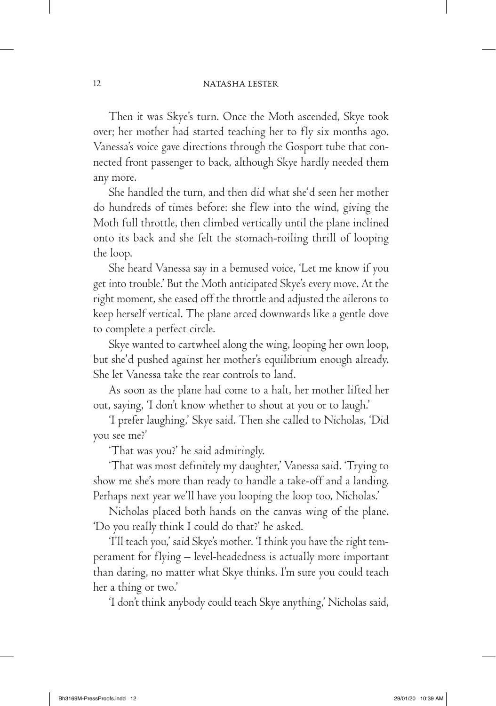Then it was Skye's turn. Once the Moth ascended, Skye took over; her mother had started teaching her to fly six months ago. Vanessa's voice gave directions through the Gosport tube that connected front passenger to back, although Skye hardly needed them any more.

She handled the turn, and then did what she'd seen her mother do hundreds of times before: she flew into the wind, giving the Moth full throttle, then climbed vertically until the plane inclined onto its back and she felt the stomach-roiling thrill of looping the loop.

She heard Vanessa say in a bemused voice, 'Let me know if you get into trouble.' But the Moth anticipated Skye's every move. At the right moment, she eased off the throttle and adjusted the ailerons to keep herself vertical. The plane arced downwards like a gentle dove to complete a perfect circle.

Skye wanted to cartwheel along the wing, looping her own loop, but she'd pushed against her mother's equilibrium enough already. She let Vanessa take the rear controls to land.

As soon as the plane had come to a halt, her mother lifted her out, saying, 'I don't know whether to shout at you or to laugh.'

'I prefer laughing,' Skye said. Then she called to Nicholas, 'Did you see me?'

'That was you?' he said admiringly.

'That was most definitely my daughter,' Vanessa said. 'Trying to show me she's more than ready to handle a take-off and a landing. Perhaps next year we'll have you looping the loop too, Nicholas.'

Nicholas placed both hands on the canvas wing of the plane. 'Do you really think I could do that?' he asked.

'I'll teach you,' said Skye's mother. 'I think you have the right temperament for flying – level-headedness is actually more important than daring, no matter what Skye thinks. I'm sure you could teach her a thing or two.'

'I don't think anybody could teach Skye anything,' Nicholas said,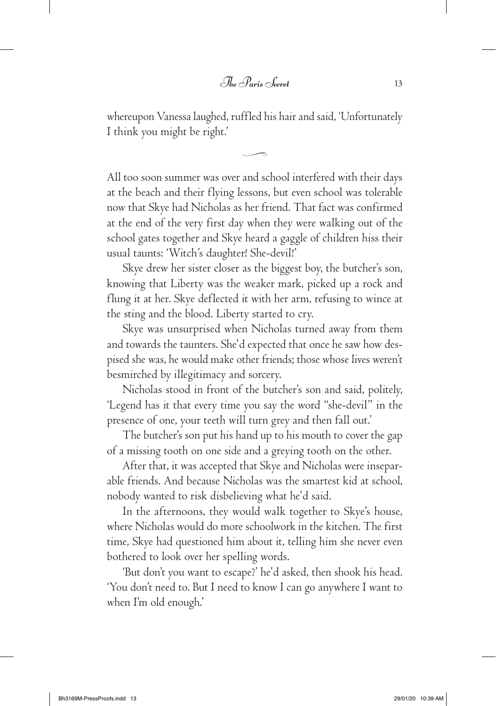whereupon Vanessa laughed, ruffled his hair and said, 'Unfortunately I think you might be right.'

 $\overline{\phantom{1}}$ 

All too soon summer was over and school interfered with their days at the beach and their flying lessons, but even school was tolerable now that Skye had Nicholas as her friend. That fact was confirmed at the end of the very first day when they were walking out of the school gates together and Skye heard a gaggle of children hiss their usual taunts: 'Witch's daughter! She-devil!'

Skye drew her sister closer as the biggest boy, the butcher's son, knowing that Liberty was the weaker mark, picked up a rock and flung it at her. Skye deflected it with her arm, refusing to wince at the sting and the blood. Liberty started to cry.

Skye was unsurprised when Nicholas turned away from them and towards the taunters. She'd expected that once he saw how despised she was, he would make other friends; those whose lives weren't besmirched by illegitimacy and sorcery.

Nicholas stood in front of the butcher's son and said, politely, 'Legend has it that every time you say the word "she-devil" in the presence of one, your teeth will turn grey and then fall out.'

The butcher's son put his hand up to his mouth to cover the gap of a missing tooth on one side and a greying tooth on the other.

After that, it was accepted that Skye and Nicholas were inseparable friends. And because Nicholas was the smartest kid at school, nobody wanted to risk disbelieving what he'd said.

In the afternoons, they would walk together to Skye's house, where Nicholas would do more schoolwork in the kitchen. The first time, Skye had questioned him about it, telling him she never even bothered to look over her spelling words.

'But don't you want to escape?' he'd asked, then shook his head. 'You don't need to. But I need to know I can go anywhere I want to when I'm old enough.'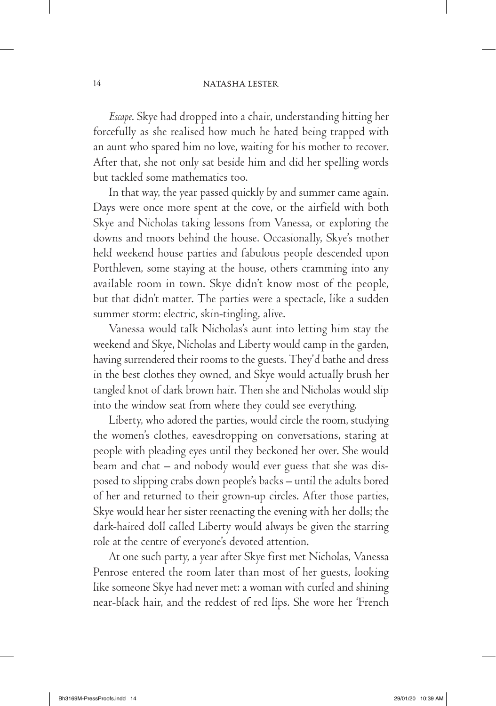*Escape*. Skye had dropped into a chair, understanding hitting her forcefully as she realised how much he hated being trapped with an aunt who spared him no love, waiting for his mother to recover. After that, she not only sat beside him and did her spelling words but tackled some mathematics too.

In that way, the year passed quickly by and summer came again. Days were once more spent at the cove, or the airfield with both Skye and Nicholas taking lessons from Vanessa, or exploring the downs and moors behind the house. Occasionally, Skye's mother held weekend house parties and fabulous people descended upon Porthleven, some staying at the house, others cramming into any available room in town. Skye didn't know most of the people, but that didn't matter. The parties were a spectacle, like a sudden summer storm: electric, skin-tingling, alive.

Vanessa would talk Nicholas's aunt into letting him stay the weekend and Skye, Nicholas and Liberty would camp in the garden, having surrendered their rooms to the guests. They'd bathe and dress in the best clothes they owned, and Skye would actually brush her tangled knot of dark brown hair. Then she and Nicholas would slip into the window seat from where they could see everything.

Liberty, who adored the parties, would circle the room, studying the women's clothes, eavesdropping on conversations, staring at people with pleading eyes until they beckoned her over. She would beam and chat – and nobody would ever guess that she was disposed to slipping crabs down people's backs – until the adults bored of her and returned to their grown-up circles. After those parties, Skye would hear her sister reenacting the evening with her dolls; the dark-haired doll called Liberty would always be given the starring role at the centre of everyone's devoted attention.

At one such party, a year after Skye first met Nicholas, Vanessa Penrose entered the room later than most of her guests, looking like someone Skye had never met: a woman with curled and shining near-black hair, and the reddest of red lips. She wore her 'French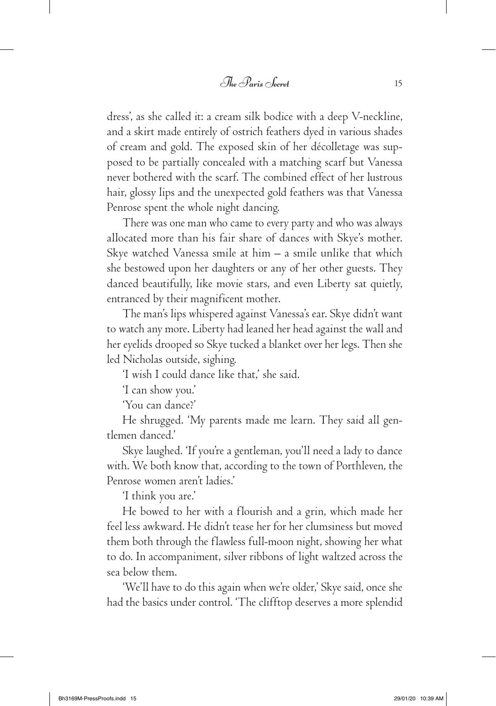dress', as she called it: a cream silk bodice with a deep V-neckline, and a skirt made entirely of ostrich feathers dyed in various shades of cream and gold. The exposed skin of her décolletage was supposed to be partially concealed with a matching scarf but Vanessa never bothered with the scarf. The combined effect of her lustrous hair, glossy lips and the unexpected gold feathers was that Vanessa Penrose spent the whole night dancing.

There was one man who came to every party and who was always allocated more than his fair share of dances with Skye's mother. Skye watched Vanessa smile at him – a smile unlike that which she bestowed upon her daughters or any of her other guests. They danced beautifully, like movie stars, and even Liberty sat quietly, entranced by their magnificent mother.

The man's lips whispered against Vanessa's ear. Skye didn't want to watch any more. Liberty had leaned her head against the wall and her eyelids drooped so Skye tucked a blanket over her legs. Then she led Nicholas outside, sighing.

'I wish I could dance like that,' she said.

'I can show you.'

'You can dance?'

He shrugged. 'My parents made me learn. They said all gentlemen danced.'

Skye laughed. 'If you're a gentleman, you'll need a lady to dance with. We both know that, according to the town of Porthleven, the Penrose women aren't ladies.'

'I think you are.'

He bowed to her with a flourish and a grin, which made her feel less awkward. He didn't tease her for her clumsiness but moved them both through the flawless full-moon night, showing her what to do. In accompaniment, silver ribbons of light waltzed across the sea below them.

'We'll have to do this again when we're older,' Skye said, once she had the basics under control. 'The clifftop deserves a more splendid